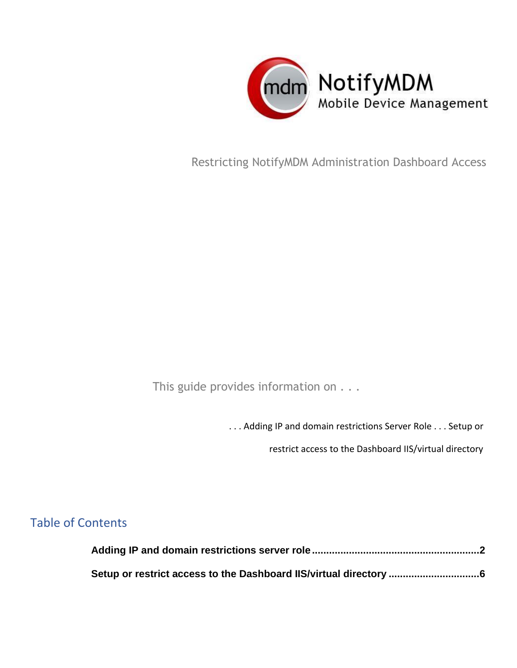

Restricting NotifyMDM Administration Dashboard Access

This guide provides information on . . .

. . . Adding IP and domain restrictions Server Role . . . Setup or

restrict access to the Dashboard IIS/virtual directory

## Table of Contents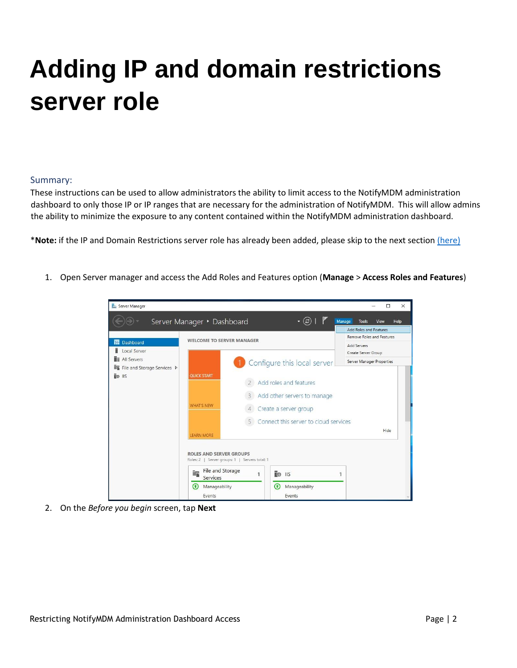## <span id="page-1-0"></span>**Adding IP and domain restrictions server role**

## Summary:

These instructions can be used to allow administrators the ability to limit access to the NotifyMDM administration dashboard to only those IP or IP ranges that are necessary for the administration of NotifyMDM. This will allow admins the ability to minimize the exposure to any content contained within the NotifyMDM administration dashboard.

\***Note:** if the IP and Domain Restrictions server role has already been added, please skip to the next section (here)

1. Open Server manager and access the Add Roles and Features option (**Manage** > **Access Roles and Features**)



2. On the *Before you begin* screen, tap **Next**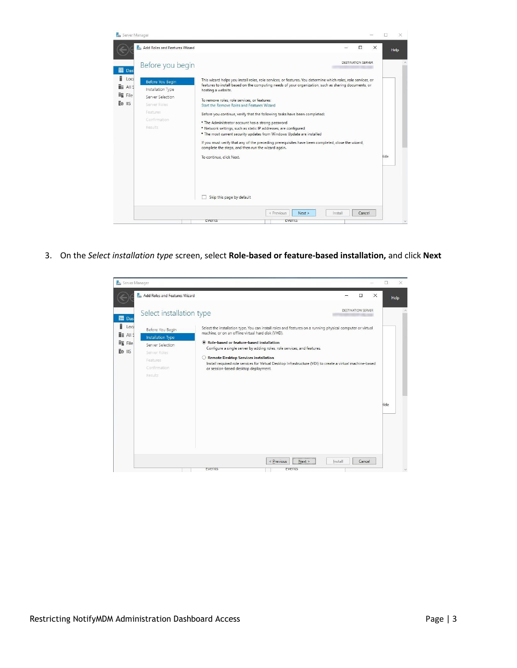

3. On the *Select installation type* screen, select **Role-based or feature-based installation,** and click **Next** 

| Server Manager                                             |                                                                                                                  |                                                                                                                                                                                                                                                                                                                                                                                                                                                                                        |          | ×    |
|------------------------------------------------------------|------------------------------------------------------------------------------------------------------------------|----------------------------------------------------------------------------------------------------------------------------------------------------------------------------------------------------------------------------------------------------------------------------------------------------------------------------------------------------------------------------------------------------------------------------------------------------------------------------------------|----------|------|
|                                                            | Add Roles and Features Wizard                                                                                    | Ω                                                                                                                                                                                                                                                                                                                                                                                                                                                                                      | $\times$ | Help |
| $\overline{III}$ Das                                       | Select installation type                                                                                         | DESTINATION SERVER                                                                                                                                                                                                                                                                                                                                                                                                                                                                     |          |      |
| î<br>Loca<br><b>THE AILS</b><br><b>File</b> File<br>TO IIS | Before You Begin<br>Installation Type<br>Server Selection<br>Server Roles<br>Features<br>Confirmation<br>Results | Select the installation type. You can install roles and features on a running physical computer or virtual<br>machine, or on an offline virtual hard disk (VHD).<br>Role-based or feature-based installation<br>Configure a single server by adding roles, role services, and features.<br>○ Remote Desktop Services installation<br>Install required role services for Virtual Desktop Infrastructure (VDI) to create a virtual machine-based<br>or session-based desktop deployment. |          | lide |
|                                                            |                                                                                                                  | < Previous<br>Install<br>Cancel<br>Next<br>events<br>tvents                                                                                                                                                                                                                                                                                                                                                                                                                            |          |      |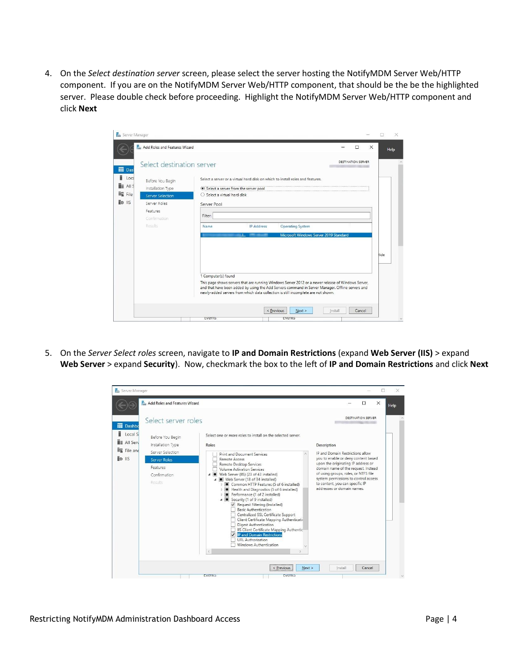4. On the *Select destination server* screen, please select the server hosting the NotifyMDM Server Web/HTTP component. If you are on the NotifyMDM Server Web/HTTP component, that should be the be the highlighted server. Please double check before proceeding. Highlight the NotifyMDM Server Web/HTTP component and click **Next** 

| Server Manager                                                                                                                                                                                                   |                                                                                                        |                          |                                                                                                                                                                                                                                                                                             |         |                           |          | ш<br>× |
|------------------------------------------------------------------------------------------------------------------------------------------------------------------------------------------------------------------|--------------------------------------------------------------------------------------------------------|--------------------------|---------------------------------------------------------------------------------------------------------------------------------------------------------------------------------------------------------------------------------------------------------------------------------------------|---------|---------------------------|----------|--------|
| Add Roles and Features Wizard                                                                                                                                                                                    |                                                                                                        |                          |                                                                                                                                                                                                                                                                                             |         | п                         | $\times$ | Help   |
| Select destination server<br>$\mathbf{m}$ Das                                                                                                                                                                    |                                                                                                        |                          |                                                                                                                                                                                                                                                                                             |         | <b>DESTINATION SERVER</b> |          |        |
| ĩ<br>Loca<br>Before You Begin<br>$\mathbf{H}$ All S<br>Installation Type<br><b>FR</b> File<br>Server Selection<br>$\overline{R}$ $\odot$ $\overline{115}$<br>Server Roles<br>Features<br>Confirmation<br>Results | Select a server from the server pool<br>○ Select a virtual hard disk<br>Server Pool<br>Filter:<br>Name | <b>IP Address</b><br>d., | Select a server or a virtual hard disk on which to install roles and features.<br><b>Operating System</b><br>Microsoft Windows Server 2019 Standard                                                                                                                                         |         |                           |          |        |
|                                                                                                                                                                                                                  | 1 Computer(s) found                                                                                    |                          | This page shows servers that are running Windows Server 2012 or a newer release of Windows Server,<br>and that have been added by using the Add Servers command in Server Manager. Offline servers and<br>newly-added servers from which data collection is still incomplete are not shown. |         |                           |          | lide   |
|                                                                                                                                                                                                                  | tvents                                                                                                 |                          | < Previous<br>Next ><br>rvents                                                                                                                                                                                                                                                              | Install | Cancel                    |          |        |

5. On the *Server Select roles* screen, navigate to **IP and Domain Restrictions** (expand **Web Server (IIS)** > expand **Web Server** > expand **Security**). Now, checkmark the box to the left of **IP and Domain Restrictions** and click **Next** 

| Server Manager                                                                                        |                                                                                                                                                                                                                                                                                                                                                                                                                                                                                                                                                                                                                                               |                                                                                                                                                                                                                                                                   |
|-------------------------------------------------------------------------------------------------------|-----------------------------------------------------------------------------------------------------------------------------------------------------------------------------------------------------------------------------------------------------------------------------------------------------------------------------------------------------------------------------------------------------------------------------------------------------------------------------------------------------------------------------------------------------------------------------------------------------------------------------------------------|-------------------------------------------------------------------------------------------------------------------------------------------------------------------------------------------------------------------------------------------------------------------|
| Add Roles and Features Wizard                                                                         |                                                                                                                                                                                                                                                                                                                                                                                                                                                                                                                                                                                                                                               | $\times$<br>$\Box$<br>Help                                                                                                                                                                                                                                        |
| Select server roles<br><b>III</b> Dashbo                                                              |                                                                                                                                                                                                                                                                                                                                                                                                                                                                                                                                                                                                                                               | <b>DESTINATION SERVER</b>                                                                                                                                                                                                                                         |
| Local S<br>Before You Begin<br><b>E</b> All Serv<br>Installation Type<br>File and<br>Server Selection | Select one or more roles to install on the selected server.<br>Roles<br>Print and Document Services                                                                                                                                                                                                                                                                                                                                                                                                                                                                                                                                           | Description<br>IP and Domain Restrictions allow                                                                                                                                                                                                                   |
| TO IIS<br>Server Roles<br>Features<br>Confirmation<br>Results                                         | Remote Access<br>Remote Desktop Services<br><b>Volume Activation Services</b><br>Web Server (IIS) (23 of 43 installed)<br>▲ ■ Web Server (18 of 34 installed)<br>Common HTTP Features (5 of 6 installed)<br>Health and Diagnostics (5 of 6 installed)<br>Performance (1 of 2 installed)<br>▲ ■ Security (1 of 9 installed)<br>Request Filtering (Installed)<br><b>Basic Authentication</b><br>Centralized SSL Certificate Support<br>Client Certificate Mapping Authenticatio<br>Digest Authentication<br>IIS Client Certificate Mapping Authentic<br><b>IP and Domain Restrictions</b><br><b>URL</b> Authorization<br>Windows Authentication | you to enable or deny content based<br>upon the originating IP address or<br>domain name of the request. Instead<br>of using groups, roles, or NTFS file<br>system permissions to control access<br>to content, you can specific IP<br>addresses or domain names. |
|                                                                                                       | < Previous<br>Events<br><b>EVENIS</b>                                                                                                                                                                                                                                                                                                                                                                                                                                                                                                                                                                                                         | Next ><br>Cancel<br>Install                                                                                                                                                                                                                                       |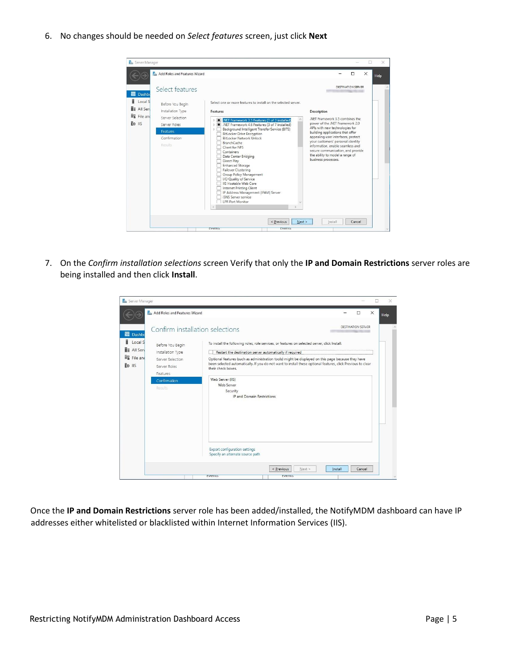6. No changes should be needed on *Select features* screen, just click **Next**

| Server Manager<br>Add Roles and Features Wizard                                                                                                                                                                                                      |                                                                                                                                                                                                                                                                                                                                                                                                                                                                                                                                                                                                                                                                                               | ×<br>$\times$<br>$\Box$<br>Help                                                                                                                                                                                                                                                                                                                                                             |
|------------------------------------------------------------------------------------------------------------------------------------------------------------------------------------------------------------------------------------------------------|-----------------------------------------------------------------------------------------------------------------------------------------------------------------------------------------------------------------------------------------------------------------------------------------------------------------------------------------------------------------------------------------------------------------------------------------------------------------------------------------------------------------------------------------------------------------------------------------------------------------------------------------------------------------------------------------------|---------------------------------------------------------------------------------------------------------------------------------------------------------------------------------------------------------------------------------------------------------------------------------------------------------------------------------------------------------------------------------------------|
| Select features<br><b>III</b> Dashbo<br>Ħ<br>Local S<br>Before You Begin<br><b>TE All Serv</b><br>Installation Type<br>File and<br>Server Selection<br>$\overline{R}$ o $\overline{R}$<br>Server Roles<br><b>Features</b><br>Confirmation<br>Results | Select one or more features to install on the selected server.<br>Features<br>.NET Framework 3.5 Features (1 of 3 installed)<br>D <b>In</b><br>NET Framework 4.6 Features (3 of 7 installed)<br>Background Intelligent Transfer Service (BITS)<br>D.<br><b>BitLocker Drive Encryption</b><br><b>BitLocker Network Unlock</b><br><b>BranchCache</b><br>Client for NFS<br>Containers<br>Data Center Bridging<br>Direct Play<br><b>Enhanced Storage</b><br>Failover Clustering<br>Group Policy Management<br>I/O Quality of Service<br><b>IIS Hostable Web Core</b><br>Internet Printing Client<br>IP Address Management (IPAM) Server<br><b>ISNS</b> Server service<br><b>I PR Port Monitor</b> | DESTINATION SERVER<br>Description<br>.NET Framework 3.5 combines the<br>power of the .NET Framework 2.0<br>APIs with new technologies for<br>building applications that offer<br>appealing user interfaces, protect<br>your customers' personal identity<br>information, enable seamless and<br>secure communication, and provide<br>the ability to model a range of<br>business processes. |
|                                                                                                                                                                                                                                                      | < Previous<br>Next ><br>cvents<br>cvents                                                                                                                                                                                                                                                                                                                                                                                                                                                                                                                                                                                                                                                      | Cancel<br>Install                                                                                                                                                                                                                                                                                                                                                                           |

7. On the *Confirm installation selections* screen Verify that only the **IP and Domain Restrictions** server roles are being installed and then click **Install**.

| Server Manager                    |                                              |                                                                                                                                                                                                                                         |          | ×    |
|-----------------------------------|----------------------------------------------|-----------------------------------------------------------------------------------------------------------------------------------------------------------------------------------------------------------------------------------------|----------|------|
|                                   | <b>Ray Add Roles and Features Wizard</b>     | $\Box$                                                                                                                                                                                                                                  | $\times$ | Help |
| <b>III</b> Dashbo                 | Confirm installation selections              | DESTINATION SERVER                                                                                                                                                                                                                      |          |      |
| ï<br>Local S<br><b>E</b> All Serv | Before You Begin<br>Installation Type        | To install the following roles, role services, or features on selected server, click Install.<br>Restart the destination server automatically if required                                                                               |          |      |
| File and<br>麻<br>TO IIS           | Server Selection<br>Server Roles<br>Features | Optional features (such as administration tools) might be displayed on this page because they have<br>been selected automatically. If you do not want to install these optional features, click Previous to clear<br>their check boxes. |          |      |
|                                   | Confirmation<br>Results                      | Web Server (IIS)<br>Web Server<br>Security<br>IP and Domain Restrictions                                                                                                                                                                |          |      |
|                                   |                                              | <b>Export configuration settings</b><br>Specify an alternate source path                                                                                                                                                                |          |      |
|                                   |                                              | < Previous<br>Next<br>Cancel<br>Install<br>cvents<br>tvents                                                                                                                                                                             |          |      |

Once the **IP and Domain Restrictions** server role has been added/installed, the NotifyMDM dashboard can have IP addresses either whitelisted or blacklisted within Internet Information Services (IIS).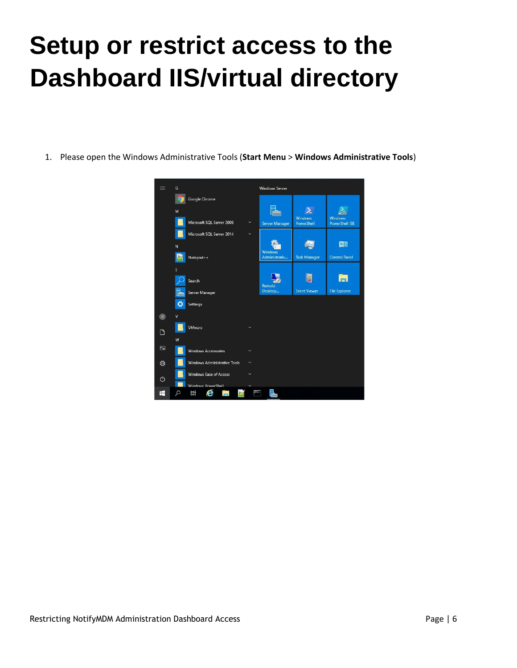## <span id="page-5-0"></span>**Setup or restrict access to the Dashboard IIS/virtual directory**

1. Please open the Windows Administrative Tools (**Start Menu** > **Windows Administrative Tools**)

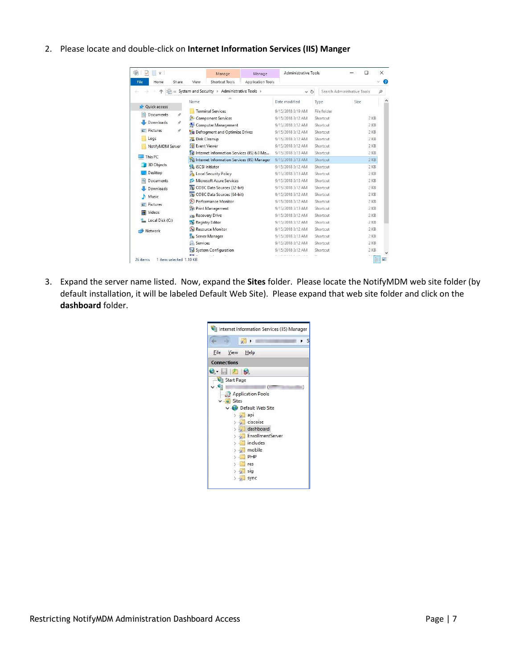2. Please locate and double-click on **Internet Information Services (IIS) Manger**

| $\overline{\phantom{a}}$                                   | Manage                                                                                                        | Manage            | Administrative Tools                                                             |                                              | $\Box$                             | $\times$ |
|------------------------------------------------------------|---------------------------------------------------------------------------------------------------------------|-------------------|----------------------------------------------------------------------------------|----------------------------------------------|------------------------------------|----------|
| File<br>Home<br>Share                                      | Shortcut Tools<br>View                                                                                        | Application Tools |                                                                                  |                                              |                                    | ⊕        |
|                                                            | « System and Security > Administrative Tools >                                                                |                   | $\vee$ Ö                                                                         |                                              | Search Administrative Tools        | o        |
| Quick access<br>晉<br>Documents<br>$\overline{\mathcal{R}}$ | $\lambda$<br>Name<br><b>Terminal Services</b><br>Component Services                                           |                   | Date modified<br>9/15/2018 3:19 AM<br>9/15/2018 3:12 AM                          | Type<br>File folder<br>Shortcut              | Size<br>$2$ KB                     |          |
| <b>Downloads</b><br>À<br>Pictures<br>Е<br>À<br>Logs        | Computer Management<br>Defragment and Optimize Drives<br>Disk Cleanup                                         |                   | 9/15/2018 3:12 AM<br>9/15/2018 3:12 AM<br>9/15/2018 3:12 AM                      | Shortcut<br>Shortcut<br>Shortcut             | 2 KB<br>$2$ KB<br>$2$ KB           |          |
| NotifyMDM Server<br>This PC                                | Event Viewer<br>Internet Information Services (IIS) 6.0 Ma<br>Fig Internet Information Services (IIS) Manager |                   | 9/15/2018 3:12 AM<br>9/15/2018 3:13 AM<br>9/15/2018 3:13 AM                      | Shortcut<br>Shortcut<br>Shortcut             | $2$ KB<br>$2$ KR<br>$2$ KB         |          |
| 3D Objects<br>Desktop                                      | iSCSI Initiator<br>Local Security Policy                                                                      |                   | 9/15/2018 3:12 AM<br>9/15/2018 3:13 AM                                           | Shortcut<br>Shortcut                         | $2$ KB<br>$2$ KB                   |          |
| Documents<br>Downloads<br>Music                            | Microsoft Azure Services<br>ODBC Data Sources (32-bit)<br>ODBC Data Sources (64-bit)                          |                   | 9/15/2018 3:13 AM<br>9/15/2018 3:12 AM<br>9/15/2018 3:12 AM                      | Shortcut<br>Shortcut<br>Shortcut             | $2$ KB<br>$2$ KB<br>$2$ KB         |          |
| <b>Pictures</b><br>Videos<br>Local Disk (C:)               | Performance Monitor<br>Print Management<br><b>Recovery Drive</b><br>Registry Editor                           |                   | 9/15/2018 3:12 AM<br>9/15/2018 3:13 AM<br>9/15/2018 3:12 AM<br>9/15/2018 3:12 AM | Shortcut<br>Shortcut<br>Shortcut<br>Shortcut | 2 KB<br>$2$ KB<br>$2$ KB<br>$2$ KB |          |
| Network                                                    | Resource Monitor<br>Server Manager<br><b>Services</b>                                                         |                   | 9/15/2018 3:12 AM<br>9/15/2018 3:13 AM<br>9/15/2018 3:12 AM                      | Shortcut<br>Shortcut<br>Shortcut             | $2$ KB<br>$2$ KB<br>$2$ KB         |          |
| 26 items<br>1 item selected 1.10 KB                        | System Configuration<br><b>Service</b>                                                                        |                   | 9/15/2018 3:12 AM                                                                | Shortcut                                     | 2 KB                               |          |

3. Expand the server name listed. Now, expand the **Sites** folder. Please locate the NotifyMDM web site folder (by default installation, it will be labeled Default Web Site). Please expand that web site folder and click on the **dashboard** folder.

| Internet Information Services (IIS) Manager                                                                                                                                                                   |                     |  |
|---------------------------------------------------------------------------------------------------------------------------------------------------------------------------------------------------------------|---------------------|--|
| ٤<br>$\sqrt{2}$<br>٠                                                                                                                                                                                          | $\triangleright$ Si |  |
| View<br>File<br>He                                                                                                                                                                                            |                     |  |
| <b>Connections</b>                                                                                                                                                                                            |                     |  |
| 63                                                                                                                                                                                                            |                     |  |
| Start Page<br>Application Pools<br>$\vee$ o Sites<br>Default Web Site<br>$\sim$<br>api<br>ciscoise<br>$\pm$<br>dashboard<br>EnrollmentServer<br><b>SEC</b><br>includes<br>mobile<br>PHP<br>res<br>sig<br>sync | n                   |  |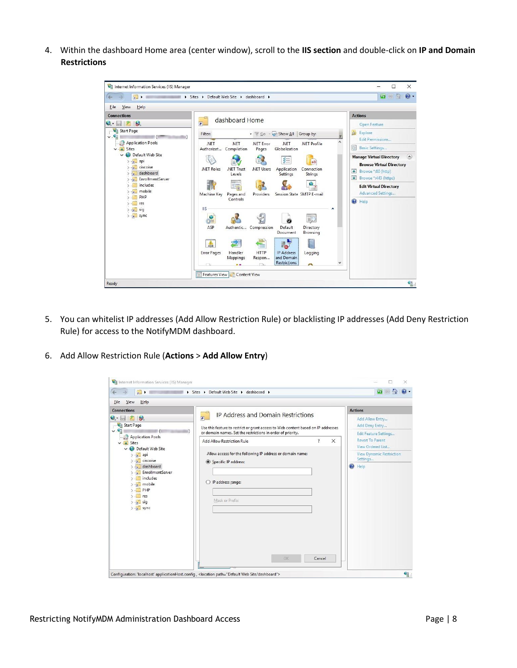4. Within the dashboard Home area (center window), scroll to the **IIS section** and double-click on **IP and Domain Restrictions**



- 5. You can whitelist IP addresses (Add Allow Restriction Rule) or blacklisting IP addresses (Add Deny Restriction Rule) for access to the NotifyMDM dashboard.
- 6. Add Allow Restriction Rule (**Actions** > **Add Allow Entry**)

| $\blacksquare$                                                                                                                                                                                                                                                | Sites > Default Web Site > dashboard >                                                                                                                                                                                                                                                                                                                                                    | $\omega$                                                                                                                                                                                                 |
|---------------------------------------------------------------------------------------------------------------------------------------------------------------------------------------------------------------------------------------------------------------|-------------------------------------------------------------------------------------------------------------------------------------------------------------------------------------------------------------------------------------------------------------------------------------------------------------------------------------------------------------------------------------------|----------------------------------------------------------------------------------------------------------------------------------------------------------------------------------------------------------|
| View<br>Help<br>File<br><b>Connections</b><br>$G - \Box$ $B$<br>Start Page<br>$\vee$ $\theta$<br>Application Pools<br>$\vee$ o Sites<br>↓ Default Web Site<br>api<br>$>$ $\sim$ ciscoise<br>dashboard<br>EnrollmentServer<br>includes<br>mobile<br>PHP<br>res | IP Address and Domain Restrictions<br>$\overline{5}$<br>Use this feature to restrict or grant access to Web content based on IP addresses<br>or domain names. Set the restrictions in order of priority.<br>$\overline{\mathbf{r}}$<br>$\times$<br>Add Allow Restriction Rule<br>Allow access for the following IP address or domain name:<br>Specific IP address:<br>O IP address range: | <b>Actions</b><br>Add Allow Entry<br>Add Deny Entry<br>Edit Feature Settings<br><b>Revert To Parent</b><br>View Ordered List<br><b>View Dynamic Restriction</b><br>Settings<br>Help<br>$\left( 2\right)$ |
| $\rightarrow$ $\frac{1}{6}$ sig<br>$>$ sync                                                                                                                                                                                                                   | Mask or Prefix:<br>OK<br>Cancel                                                                                                                                                                                                                                                                                                                                                           |                                                                                                                                                                                                          |